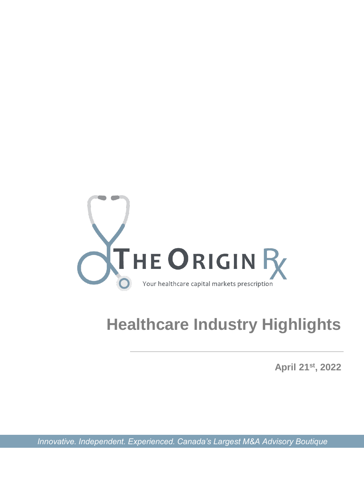

# **Healthcare Industry Highlights**

**April 21st, 2022**

*Innovative. Independent. Experienced. Canada's Largest M&A Advisory Boutique*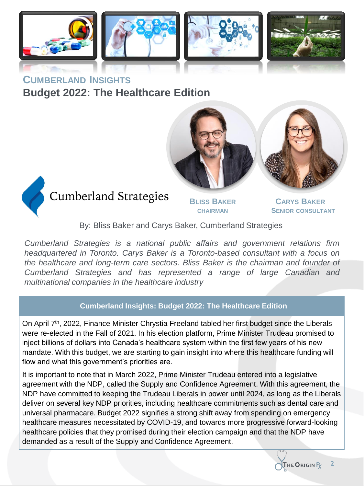

**CUMBERLAND INSIGHTS Budget 2022: The Healthcare Edition**







# **Cumberland Strategies**

**BLISS BAKER CHAIRMAN**

**CARYS BAKER SENIOR CONSULTANT**

By: Bliss Baker and Carys Baker, Cumberland Strategies

*Cumberland Strategies is a national public affairs and government relations firm headquartered in Toronto. Carys Baker is a Toronto-based consultant with a focus on the healthcare and long-term care sectors. Bliss Baker is the chairman and founder of Cumberland Strategies and has represented a range of large Canadian and multinational companies in the healthcare industry*

### **Cumberland Insights: Budget 2022: The Healthcare Edition**

On April 7<sup>th</sup>, 2022, Finance Minister Chrystia Freeland tabled her first budget since the Liberals were re-elected in the Fall of 2021. In his election platform, Prime Minister Trudeau promised to inject billions of dollars into Canada's healthcare system within the first few years of his new mandate. With this budget, we are starting to gain insight into where this healthcare funding will flow and what this government's priorities are.

It is important to note that in March 2022, Prime Minister Trudeau entered into a legislative agreement with the NDP, called the Supply and Confidence Agreement. With this agreement, the NDP have committed to keeping the Trudeau Liberals in power until 2024, as long as the Liberals deliver on several key NDP priorities, including healthcare commitments such as dental care and universal pharmacare. Budget 2022 signifies a strong shift away from spending on emergency healthcare measures necessitated by COVID-19, and towards more progressive forward-looking healthcare policies that they promised during their election campaign and that the NDP have demanded as a result of the Supply and Confidence Agreement.



**2**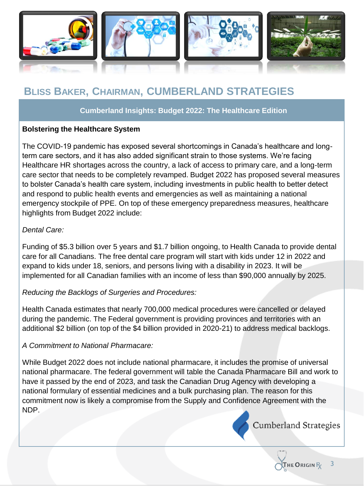

# **BLISS BAKER, CHAIRMAN, CUMBERLAND STRATEGIES**

### **Cumberland Insights: Budget 2022: The Healthcare Edition**

### **Bolstering the Healthcare System**

The COVID-19 pandemic has exposed several shortcomings in Canada's healthcare and longterm care sectors, and it has also added significant strain to those systems. We're facing Healthcare HR shortages across the country, a lack of access to primary care, and a long-term care sector that needs to be completely revamped. Budget 2022 has proposed several measures to bolster Canada's health care system, including investments in public health to better detect and respond to public health events and emergencies as well as maintaining a national emergency stockpile of PPE. On top of these emergency preparedness measures, healthcare highlights from Budget 2022 include:

### *Dental Care:*

Funding of \$5.3 billion over 5 years and \$1.7 billion ongoing, to Health Canada to provide dental care for all Canadians. The free dental care program will start with kids under 12 in 2022 and expand to kids under 18, seniors, and persons living with a disability in 2023. It will be implemented for all Canadian families with an income of less than \$90,000 annually by 2025.

### *Reducing the Backlogs of Surgeries and Procedures:*

Health Canada estimates that nearly 700,000 medical procedures were cancelled or delayed during the pandemic. The Federal government is providing provinces and territories with an additional \$2 billion (on top of the \$4 billion provided in 2020-21) to address medical backlogs.

### *A Commitment to National Pharmacare:*

While Budget 2022 does not include national pharmacare, it includes the promise of universal national pharmacare. The federal government will table the Canada Pharmacare Bill and work to have it passed by the end of 2023, and task the Canadian Drug Agency with developing a national formulary of essential medicines and a bulk purchasing plan. The reason for this commitment now is likely a compromise from the Supply and Confidence Agreement with the NDP.



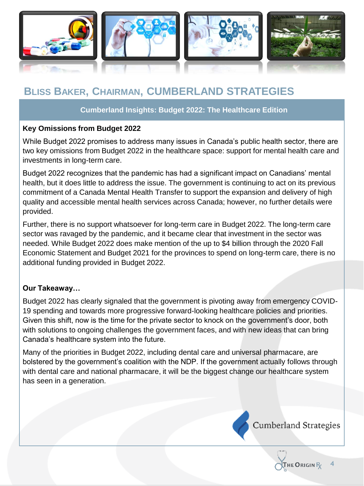

# **BLISS BAKER, CHAIRMAN, CUMBERLAND STRATEGIES**

### **Cumberland Insights: Budget 2022: The Healthcare Edition**

### **Key Omissions from Budget 2022**

While Budget 2022 promises to address many issues in Canada's public health sector, there are two key omissions from Budget 2022 in the healthcare space: support for mental health care and investments in long-term care.

Budget 2022 recognizes that the pandemic has had a significant impact on Canadians' mental health, but it does little to address the issue. The government is continuing to act on its previous commitment of a Canada Mental Health Transfer to support the expansion and delivery of high quality and accessible mental health services across Canada; however, no further details were provided.

Further, there is no support whatsoever for long-term care in Budget 2022. The long-term care sector was ravaged by the pandemic, and it became clear that investment in the sector was needed. While Budget 2022 does make mention of the up to \$4 billion through the 2020 Fall Economic Statement and Budget 2021 for the provinces to spend on long-term care, there is no additional funding provided in Budget 2022.

### **Our Takeaway…**

Budget 2022 has clearly signaled that the government is pivoting away from emergency COVID-19 spending and towards more progressive forward-looking healthcare policies and priorities. Given this shift, now is the time for the private sector to knock on the government's door, both with solutions to ongoing challenges the government faces, and with new ideas that can bring Canada's healthcare system into the future.

Many of the priorities in Budget 2022, including dental care and universal pharmacare, are bolstered by the government's coalition with the NDP. If the government actually follows through with dental care and national pharmacare, it will be the biggest change our healthcare system has seen in a generation.

**Cumberland Strategies** 

**HE ORIGIN** R

**4**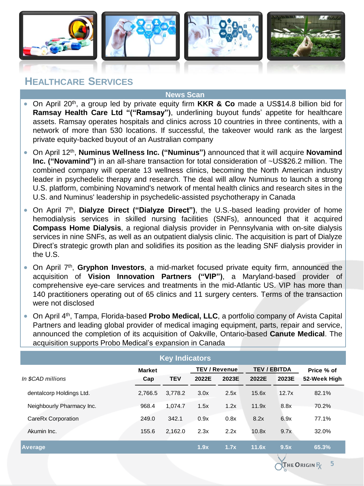

### **HEALTHCARE SERVICES**

#### **News Scan**

- On April 20<sup>th</sup>, a group led by private equity firm KKR & Co made a US\$14.8 billion bid for **Ramsay Health Care Ltd "("Ramsay")**, underlining buyout funds' appetite for healthcare assets. Ramsay operates hospitals and clinics across 10 countries in three continents, with a network of more than 530 locations. If successful, the takeover would rank as the largest private equity-backed buyout of an Australian company
- On April 12th , **Numinus Wellness Inc. ("Numinus")** announced that it will acquire **Novamind Inc. ("Novamind")** in an all-share transaction for total consideration of ~US\$26.2 million. The combined company will operate 13 wellness clinics, becoming the North American industry leader in psychedelic therapy and research. The deal will allow Numinus to launch a strong U.S. platform, combining Novamind's network of mental health clinics and research sites in the U.S. and Numinus' leadership in psychedelic-assisted psychotherapy in Canada
- On April 7<sup>th</sup>, Dialyze Direct ("Dialyze Direct"), the U.S.-based leading provider of home hemodialysis services in skilled nursing facilities (SNFs), announced that it acquired **Compass Home Dialysis**, a regional dialysis provider in Pennsylvania with on-site dialysis services in nine SNFs, as well as an outpatient dialysis clinic. The acquisition is part of Dialyze Direct's strategic growth plan and solidifies its position as the leading SNF dialysis provider in the U.S.
- On April 7<sup>th</sup>, Gryphon Investors, a mid-market focused private equity firm, announced the acquisition of **Vision Innovation Partners ("VIP")**, a Maryland-based provider of comprehensive eye-care services and treatments in the mid-Atlantic US. VIP has more than 140 practitioners operating out of 65 clinics and 11 surgery centers. Terms of the transaction were not disclosed
- **On April 4<sup>th</sup>, Tampa, Florida-based Probo Medical, LLC, a portfolio company of Avista Capital** Partners and leading global provider of medical imaging equipment, parts, repair and service, announced the completion of its acquisition of Oakville, Ontario-based **Canute Medical**. The acquisition supports Probo Medical's expansion in Canada

| <b>Key Indicators</b>     |                      |            |       |                               |                              |       |                            |  |  |
|---------------------------|----------------------|------------|-------|-------------------------------|------------------------------|-------|----------------------------|--|--|
| In \$CAD millions         | <b>Market</b><br>Cap | <b>TEV</b> | 2022E | <b>TEV / Revenue</b><br>2023E | <b>TEV / EBITDA</b><br>2022E | 2023E | Price % of<br>52-Week High |  |  |
| dentalcorp Holdings Ltd.  | 2.766.5              | 3,778.2    | 3.0x  | 2.5x                          | 15.6x                        | 12.7x | 82.1%                      |  |  |
| Neighbourly Pharmacy Inc. | 968.4                | 1.074.7    | 1.5x  | 1.2x                          | 11.9x                        | 8.8x  | 70.2%                      |  |  |
| CareRx Corporation        | 249.0                | 342.1      | 0.9x  | 0.8x                          | 8.2x                         | 6.9x  | 77.1%                      |  |  |
| Akumin Inc.               | 155.6                | 2.162.0    | 2.3x  | 2.2x                          | 10.8x                        | 9.7x  | 32.0%                      |  |  |
| Average                   |                      |            | 1.9x  | 1.7x                          | 11.6x                        | 9.5x  | 65.3%                      |  |  |

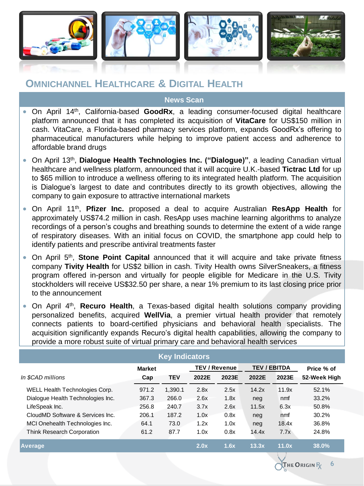

### **OMNICHANNEL HEALTHCARE & DIGITAL HEALTH**

**News Scan**

- **•** On April 14<sup>th</sup>, California-based GoodRx, a leading consumer-focused digital healthcare platform announced that it has completed its acquisition of **VitaCare** for US\$150 million in cash. VitaCare, a Florida-based pharmacy services platform, expands GoodRx's offering to pharmaceutical manufacturers while helping to improve patient access and adherence to affordable brand drugs
- On April 13th , **Dialogue Health Technologies Inc. ("Dialogue)"**, a leading Canadian virtual healthcare and wellness platform, announced that it will acquire U.K.-based **Tictrac Ltd** for up to \$65 million to introduce a wellness offering to its integrated health platform. The acquisition is Dialogue's largest to date and contributes directly to its growth objectives, allowing the company to gain exposure to attractive international markets
- On April 11th , **Pfizer Inc.** proposed a deal to acquire Australian **ResApp Health** for approximately US\$74.2 million in cash. ResApp uses machine learning algorithms to analyze recordings of a person's coughs and breathing sounds to determine the extent of a wide range of respiratory diseases. With an initial focus on COVID, the smartphone app could help to identify patients and prescribe antiviral treatments faster
- **•** On April 5<sup>th</sup>, Stone Point Capital announced that it will acquire and take private fitness company **Tivity Health** for US\$2 billion in cash. Tivity Health owns SilverSneakers, a fitness program offered in-person and virtually for people eligible for Medicare in the U.S. Tivity stockholders will receive US\$32.50 per share, a near 1% premium to its last closing price prior to the announcement
- **•** On April 4<sup>th</sup>, Recuro Health, a Texas-based digital health solutions company providing personalized benefits, acquired **WellVia**, a premier virtual health provider that remotely connects patients to board-certified physicians and behavioral health specialists. The acquisition significantly expands Recuro's digital health capabilities, allowing the company to provide a more robust suite of virtual primary care and behavioral health services

| <b>Key Indicators</b>             |               |            |       |                      |       |                     |              |  |  |
|-----------------------------------|---------------|------------|-------|----------------------|-------|---------------------|--------------|--|--|
|                                   | <b>Market</b> |            |       | <b>TEV / Revenue</b> |       | <b>TEV / EBITDA</b> | Price % of   |  |  |
| In \$CAD millions                 | Cap           | <b>TEV</b> | 2022E | 2023E                | 2022E | 2023E               | 52-Week High |  |  |
| WELL Health Technologies Corp.    | 971.2         | 1.390.1    | 2.8x  | 2.5x                 | 14.2x | 11.9x               | 52.1%        |  |  |
| Dialogue Health Technologies Inc. | 367.3         | 266.0      | 2.6x  | 1.8x                 | neg   | nmf                 | 33.2%        |  |  |
| LifeSpeak Inc.                    | 256.8         | 240.7      | 3.7x  | 2.6x                 | 11.5x | 6.3x                | 50.8%        |  |  |
| CloudMD Software & Services Inc.  | 206.1         | 187.2      | 1.0x  | 0.8x                 | neg   | nmf                 | 30.2%        |  |  |
| MCI Onehealth Technologies Inc.   | 64.1          | 73.0       | 1.2x  | 1.0x                 | neg   | 18.4x               | 36.8%        |  |  |
| <b>Think Research Corporation</b> | 61.2          | 87.7       | 1.0x  | 0.8x                 | 14.4x | 7.7x                | 24.8%        |  |  |
| <b>Average</b>                    |               |            | 2.0x  | 1.6x                 | 13.3x | 11.0x               | 38.0%        |  |  |

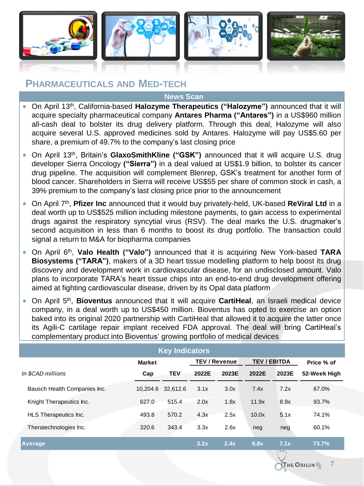

### **PHARMACEUTICALS AND MED-TECH**

#### **News Scan**

- On April 13th , California-based **Halozyme Therapeutics ("Halozyme")** announced that it will acquire specialty pharmaceutical company **Antares Pharma ("Antares")** in a US\$960 million all-cash deal to bolster its drug delivery platform. Through this deal, Halozyme will also acquire several U.S. approved medicines sold by Antares. Halozyme will pay US\$5.60 per share, a premium of 49.7% to the company's last closing price
- On April 13<sup>th</sup>, Britain's GlaxoSmithKline ("GSK") announced that it will acquire U.S. drug developer Sierra Oncology **("Sierra")** in a deal valued at US\$1.9 billion, to bolster its cancer drug pipeline. The acquisition will complement Blenrep, GSK's treatment for another form of blood cancer. Shareholders in Sierra will receive US\$55 per share of common stock in cash, a 39% premium to the company's last closing price prior to the announcement
- On April 7<sup>th</sup>, Pfizer Inc announced that it would buy privately-held, UK-based ReViral Ltd in a deal worth up to US\$525 million including milestone payments, to gain access to experimental drugs against the respiratory syncytial virus (RSV). The deal marks the U.S. drugmaker's second acquisition in less than 6 months to boost its drug portfolio. The transaction could signal a return to M&A for biopharma companies
- On April 6 th , **Valo Health ("Valo")** announced that it is acquiring New York-based **TARA Biosystems ("TARA")**, makers of a 3D heart tissue modelling platform to help boost its drug discovery and development work in cardiovascular disease, for an undisclosed amount. Valo plans to incorporate TARA's heart tissue chips into an end-to-end drug development offering aimed at fighting cardiovascular disease, driven by its Opal data platform
- **•** On April 5<sup>th</sup>, Bioventus announced that it will acquire CartiHeal, an Israeli medical device company, in a deal worth up to US\$450 million. Bioventus has opted to exercise an option baked into its original 2020 partnership with CartiHeal that allowed it to acquire the latter once its Agili-C cartilage repair implant received FDA approval. The deal will bring CartiHeal's complementary product into Bioventus' growing portfolio of medical devices

| <b>Key Indicators</b>        |               |            |       |                                             |       |       |              |  |
|------------------------------|---------------|------------|-------|---------------------------------------------|-------|-------|--------------|--|
|                              | <b>Market</b> |            |       | <b>TEV / EBITDA</b><br><b>TEV / Revenue</b> |       |       | Price % of   |  |
| In \$CAD millions            | Cap           | <b>TEV</b> | 2022E | 2023E                                       | 2022E | 2023E | 52-Week High |  |
| Bausch Health Companies Inc. | 10.204.6      | 32.612.6   | 3.1x  | 3.0x                                        | 7.4x  | 7.2x  | 67.0%        |  |
| Knight Therapeutics Inc.     | 627.0         | 515.4      | 2.0x  | 1.8x                                        | 11.9x | 8.9x  | 93.7%        |  |
| HLS Therapeutics Inc.        | 493.8         | 570.2      | 4.3x  | 2.5x                                        | 10.0x | 5.1x  | 74.1%        |  |
| Theratechnologies Inc.       | 320.6         | 343.4      | 3.3x  | 2.6x                                        | neg   | neg   | 60.1%        |  |
| <b>Average</b>               |               |            | 3.2x  | 2.4x                                        | 9.8x  | 7.1x  | 73.7%        |  |

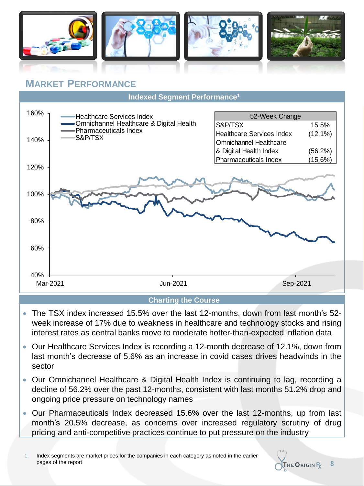

### **MARKET PERFORMANCE**

**Indexed Segment Performance<sup>1</sup>**



### **Charting the Course**

- The TSX index increased 15.5% over the last 12-months, down from last month's 52 week increase of 17% due to weakness in healthcare and technology stocks and rising interest rates as central banks move to moderate hotter-than-expected inflation data
- Our Healthcare Services Index is recording a 12-month decrease of 12.1%, down from last month's decrease of 5.6% as an increase in covid cases drives headwinds in the sector
- Our Omnichannel Healthcare & Digital Health Index is continuing to lag, recording a decline of 56.2% over the past 12-months, consistent with last months 51.2% drop and ongoing price pressure on technology names
- Our Pharmaceuticals Index decreased 15.6% over the last 12-months, up from last month's 20.5% decrease, as concerns over increased regulatory scrutiny of drug pricing and anti-competitive practices continue to put pressure on the industry

1. Index segments are market prices for the companies in each category as noted in the earlier pages of the report



**8**